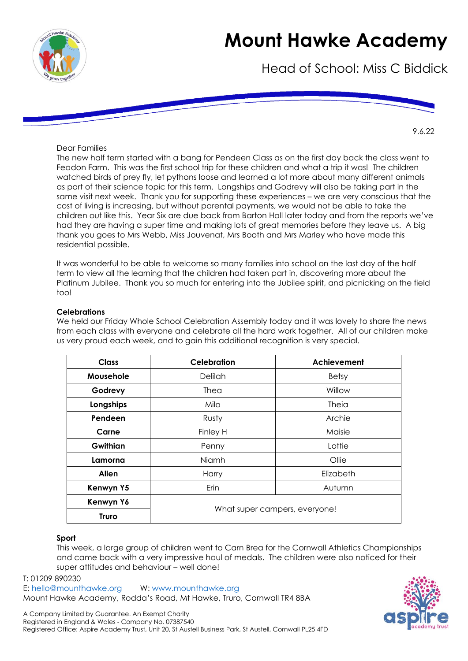

Head of School: Miss C Biddick

9.6.22

Dear Families

The new half term started with a bang for Pendeen Class as on the first day back the class went to Feadon Farm. This was the first school trip for these children and what a trip it was! The children watched birds of prey fly, let pythons loose and learned a lot more about many different animals as part of their science topic for this term. Longships and Godrevy will also be taking part in the same visit next week. Thank you for supporting these experiences – we are very conscious that the cost of living is increasing, but without parental payments, we would not be able to take the children out like this. Year Six are due back from Barton Hall later today and from the reports we've had they are having a super time and making lots of great memories before they leave us. A big thank you goes to Mrs Webb, Miss Jouvenat, Mrs Booth and Mrs Marley who have made this residential possible.

It was wonderful to be able to welcome so many families into school on the last day of the half term to view all the learning that the children had taken part in, discovering more about the Platinum Jubilee. Thank you so much for entering into the Jubilee spirit, and picnicking on the field too!

### **Celebrations**

We held our Friday Whole School Celebration Assembly today and it was lovely to share the news from each class with everyone and celebrate all the hard work together. All of our children make us very proud each week, and to gain this additional recognition is very special.

| <b>Class</b> | <b>Celebration</b>            | Achievement  |
|--------------|-------------------------------|--------------|
| Mousehole    | <b>Delilah</b>                | <b>Betsy</b> |
| Godrevy      | Thea                          | Willow       |
| Longships    | Milo                          | Theia        |
| Pendeen      | Rusty                         | Archie       |
| Carne        | Finley H                      | Maisie       |
| Gwithian     | Penny                         | Lottie       |
| Lamorna      | Niamh                         | Ollie        |
| <b>Allen</b> | Harry                         | Elizabeth    |
| Kenwyn Y5    | Erin                          | Autumn       |
| Kenwyn Y6    | What super campers, everyone! |              |
| <b>Truro</b> |                               |              |

### **Sport**

This week, a large group of children went to Carn Brea for the Cornwall Athletics Championships and came back with a very impressive haul of medals. The children were also noticed for their super attitudes and behaviour – well done!

T: 01209 890230 E: [hello@mounthawke.org](mailto:hello@mounthawke.org) W: [www.mounthawke.org](http://www.mounthawke.org/)

Mount Hawke Academy, Rodda's Road, Mt Hawke, Truro, Cornwall TR4 8BA

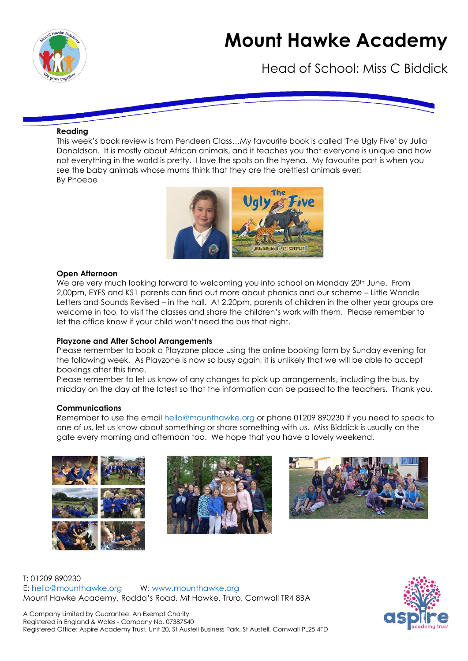

Head of School: Miss C Biddick

#### **Reading**

This week's book review is from Pendeen Class…My favourite book is called 'The Ugly Five' by Julia Donaldson. It is mostly about African animals, and it teaches you that everyone is unique and how not everything in the world is pretty. I love the spots on the hyena. My favourite part is when you see the baby animals whose mums think that they are the prettiest animals ever! By Phoebe



#### **Open Afternoon**

We are very much looking forward to welcoming you into school on Monday 20<sup>th</sup> June. From 2,00pm, EYFS and KS1 parents can find out more about phonics and our scheme – Little Wandle Letters and Sounds Revised – in the hall. At 2.20pm, parents of children in the other year groups are welcome in too, to visit the classes and share the children's work with them. Please remember to let the office know if your child won't need the bus that night.

#### **Playzone and After School Arrangements**

Please remember to book a Playzone place using the online booking form by Sunday evening for the following week. As Playzone is now so busy again, it is unlikely that we will be able to accept bookings after this time.

Please remember to let us know of any changes to pick up arrangements, including the bus, by midday on the day at the latest so that the information can be passed to the teachers. Thank you.

#### **Communications**

Remember to use the email [hello@mounthawke.org](mailto:hello@mounthawke.org) or phone 01209 890230 if you need to speak to one of us, let us know about something or share something with us. Miss Biddick is usually on the gate every morning and afternoon too. We hope that you have a lovely weekend.







T: 01209 890230 E: [hello@mounthawke.org](mailto:hello@mounthawke.org) W: [www.mounthawke.org](http://www.mounthawke.org/) Mount Hawke Academy, Rodda's Road, Mt Hawke, Truro, Cornwall TR4 8BA

A Company Limited by Guarantee. An Exempt Charity Registered in England & Wales - Company No. 07387540 Registered Office: Aspire Academy Trust, Unit 20, St Austell Business Park, St Austell, Cornwall PL25 4FD

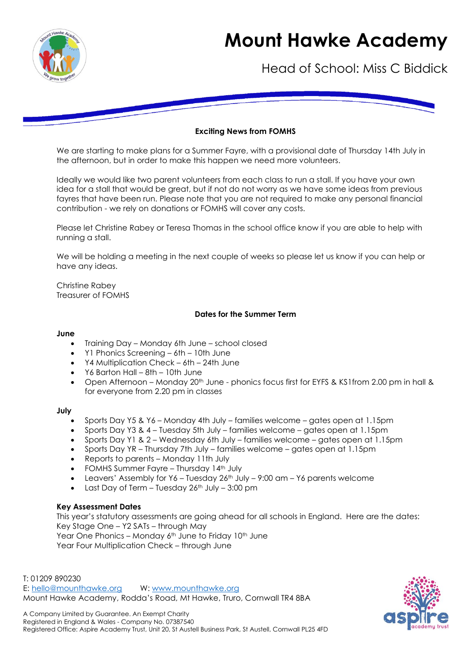

Head of School: Miss C Biddick

### **Exciting News from FOMHS**

We are starting to make plans for a Summer Fayre, with a provisional date of Thursday 14th July in the afternoon, but in order to make this happen we need more volunteers.

Ideally we would like two parent volunteers from each class to run a stall. If you have your own idea for a stall that would be great, but if not do not worry as we have some ideas from previous fayres that have been run. Please note that you are not required to make any personal financial contribution - we rely on donations or FOMHS will cover any costs.

Please let Christine Rabey or Teresa Thomas in the school office know if you are able to help with running a stall.

We will be holding a meeting in the next couple of weeks so please let us know if you can help or have any ideas.

Christine Rabey Treasurer of FOMHS

#### **Dates for the Summer Term**

#### **June**

- Training Day Monday 6th June school closed
- Y1 Phonics Screening 6th 10th June
- Y4 Multiplication Check 6th 24th June
- Y6 Barton Hall 8th 10th June
- Open Afternoon Monday 20<sup>th</sup> June phonics focus first for EYFS & KS1from 2.00 pm in hall & for everyone from 2.20 pm in classes

#### **July**

- Sports Day Y5 & Y6 Monday 4th July families welcome gates open at 1.15pm
- Sports Day Y3 & 4 Tuesday 5th July families welcome gates open at 1.15pm
- Sports Day Y1 & 2 Wednesday 6th July families welcome gates open at 1.15pm
- Sports Day YR Thursday 7th July families welcome gates open at 1.15pm
- Reports to parents Monday 11th July
- FOMHS Summer Fayre Thursday 14<sup>th</sup> July
- Leavers' Assembly for Y6 Tuesday 26th July 9:00 am Y6 parents welcome
- Last Day of Term Tuesday  $26^{th}$  July 3:00 pm

#### **Key Assessment Dates**

This year's statutory assessments are going ahead for all schools in England. Here are the dates: Key Stage One – Y2 SATs – through May Year One Phonics – Monday  $6<sup>th</sup>$  June to Friday 10<sup>th</sup> June Year Four Multiplication Check – through June

T: 01209 890230 E: [hello@mounthawke.org](mailto:hello@mounthawke.org) W: [www.mounthawke.org](http://www.mounthawke.org/) Mount Hawke Academy, Rodda's Road, Mt Hawke, Truro, Cornwall TR4 8BA